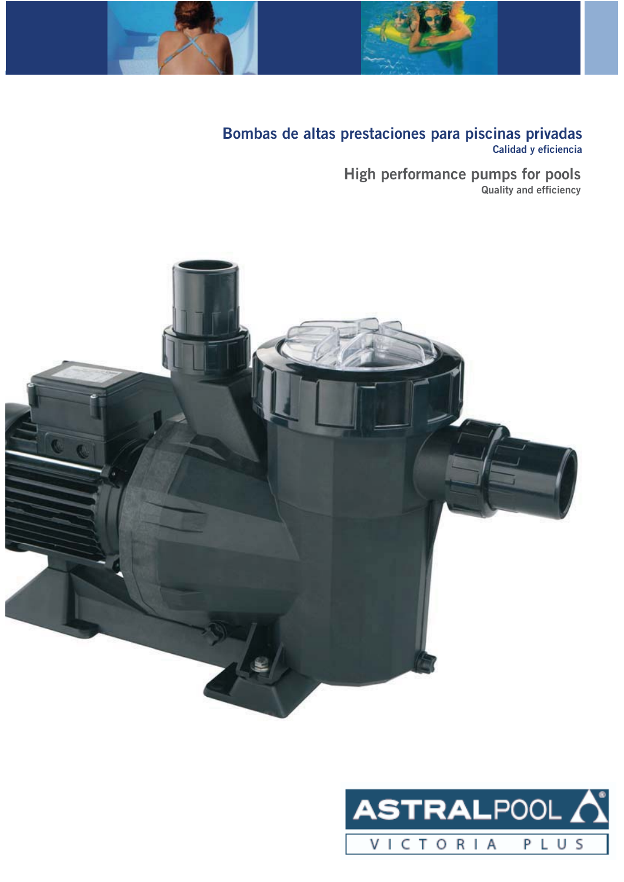



# **Bombas de altas prestaciones para piscinas privadas Calidad y eficiencia**

**High performance pumps for pools Quality and efficiency**



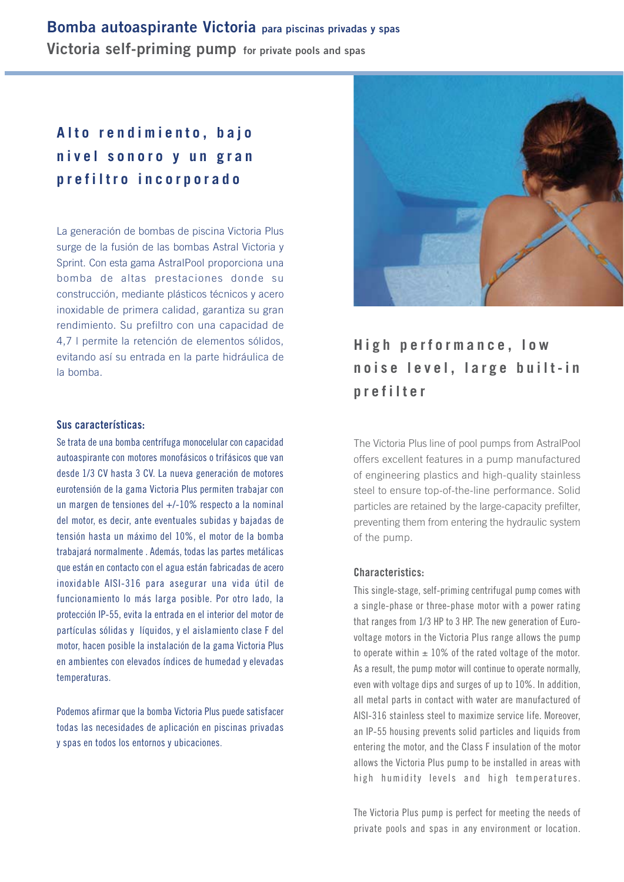# **Bomba autoaspirante Victoria para piscinas privadas y spas Victoria self-priming pump for private pools and spas**

# **Alto rendimiento, bajo nivel sonoro y un gran prefiltro incorporado**

La generación de bombas de piscina Victoria Plus surge de la fusión de las bombas Astral Victoria y Sprint. Con esta gama AstralPool proporciona una bomba de altas prestaciones donde su construcción, mediante plásticos técnicos y acero inoxidable de primera calidad, garantiza su gran rendimiento. Su prefiltro con una capacidad de 4,7 l permite la retención de elementos sólidos, evitando así su entrada en la parte hidráulica de la bomba.

#### **Sus características:**

Se trata de una bomba centrífuga monocelular con capacidad autoaspirante con motores monofásicos o trifásicos que van desde 1/3 CV hasta 3 CV. La nueva generación de motores eurotensión de la gama Victoria Plus permiten trabajar con un margen de tensiones del +/-10% respecto a la nominal del motor, es decir, ante eventuales subidas y bajadas de tensión hasta un máximo del 10%, el motor de la bomba trabajará normalmente . Además, todas las partes metálicas que están en contacto con el agua están fabricadas de acero inoxidable AISI-316 para asegurar una vida útil de funcionamiento lo más larga posible. Por otro lado, la protección IP-55, evita la entrada en el interior del motor de partículas sólidas y líquidos, y el aislamiento clase F del motor, hacen posible la instalación de la gama Victoria Plus en ambientes con elevados índices de humedad y elevadas temperaturas.

Podemos afirmar que la bomba Victoria Plus puede satisfacer todas las necesidades de aplicación en piscinas privadas y spas en todos los entornos y ubicaciones.



# **High performance, low noise level, large built-in prefilter**

The Victoria Plus line of pool pumps from AstralPool offers excellent features in a pump manufactured of engineering plastics and high-quality stainless steel to ensure top-of-the-line performance. Solid particles are retained by the large-capacity prefilter, preventing them from entering the hydraulic system of the pump.

#### **Characteristics:**

This single-stage, self-priming centrifugal pump comes with a single-phase or three-phase motor with a power rating that ranges from 1/3 HP to 3 HP. The new generation of Eurovoltage motors in the Victoria Plus range allows the pump to operate within  $\pm$  10% of the rated voltage of the motor. As a result, the pump motor will continue to operate normally, even with voltage dips and surges of up to 10%. In addition, all metal parts in contact with water are manufactured of AISI-316 stainless steel to maximize service life. Moreover, an IP-55 housing prevents solid particles and liquids from entering the motor, and the Class F insulation of the motor allows the Victoria Plus pump to be installed in areas with high humidity levels and high temperatures.

The Victoria Plus pump is perfect for meeting the needs of private pools and spas in any environment or location.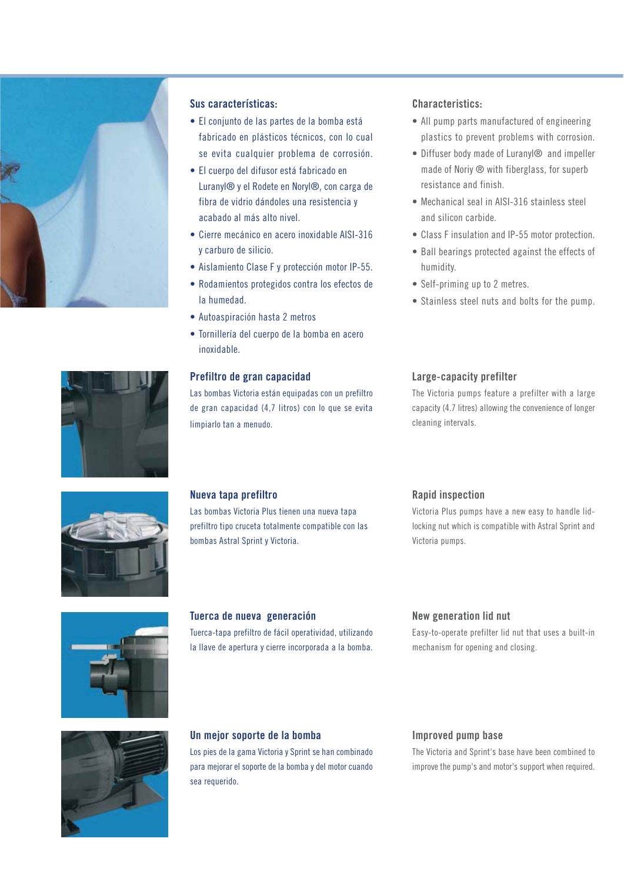

## **Sus características:**

- El conjunto de las partes de la bomba está fabricado en plásticos técnicos, con lo cual se evita cualquier problema de corrosión.
- El cuerpo del difusor está fabricado en Luranyl® y el Rodete en Noryl®, con carga de fibra de vidrio dándoles una resistencia y acabado al más alto nivel.
- Cierre mecánico en acero inoxidable AISI-316 y carburo de silicio.
- Aislamiento Clase F y protección motor IP-55.
- Rodamientos protegidos contra los efectos de la humedad.
- Autoaspiración hasta 2 metros
- Tornillería del cuerpo de la bomba en acero inoxidable.

## **Prefiltro de gran capacidad**

Las bombas Victoria están equipadas con un prefiltro de gran capacidad (4,7 litros) con lo que se evita limpiarlo tan a menudo.

## **Characteristics:**

- All pump parts manufactured of engineering plastics to prevent problems with corrosion.
- Diffuser body made of Luranyl® and impeller made of Noriy ® with fiberglass, for superb resistance and finish.
- Mechanical seal in AISI-316 stainless steel and silicon carbide.
- Class F insulation and IP-55 motor protection.
- Ball bearings protected against the effects of humidity.
- Self-priming up to 2 metres.
- Stainless steel nuts and bolts for the pump.

# **Large-capacity prefilter**

The Victoria pumps feature a prefilter with a large capacity (4.7 litres) allowing the convenience of longer cleaning intervals.

# **Nueva tapa prefiltro**

Las bombas Victoria Plus tienen una nueva tapa prefiltro tipo cruceta totalmente compatible con las bombas Astral Sprint y Victoria.

#### **Rapid inspection**

Victoria Plus pumps have a new easy to handle lidlocking nut which is compatible with Astral Sprint and Victoria pumps.



## **Tuerca de nueva generación**

Tuerca-tapa prefiltro de fácil operatividad, utilizando la llave de apertura y cierre incorporada a la bomba.

#### **New generation lid nut**

Easy-to-operate prefilter lid nut that uses a built-in mechanism for opening and closing.



#### **Un mejor soporte de la bomba**

Los pies de la gama Victoria y Sprint se han combinado para mejorar el soporte de la bomba y del motor cuando sea requerido.

#### **Improved pump base**

The Victoria and Sprint's base have been combined to improve the pump's and motor's support when required.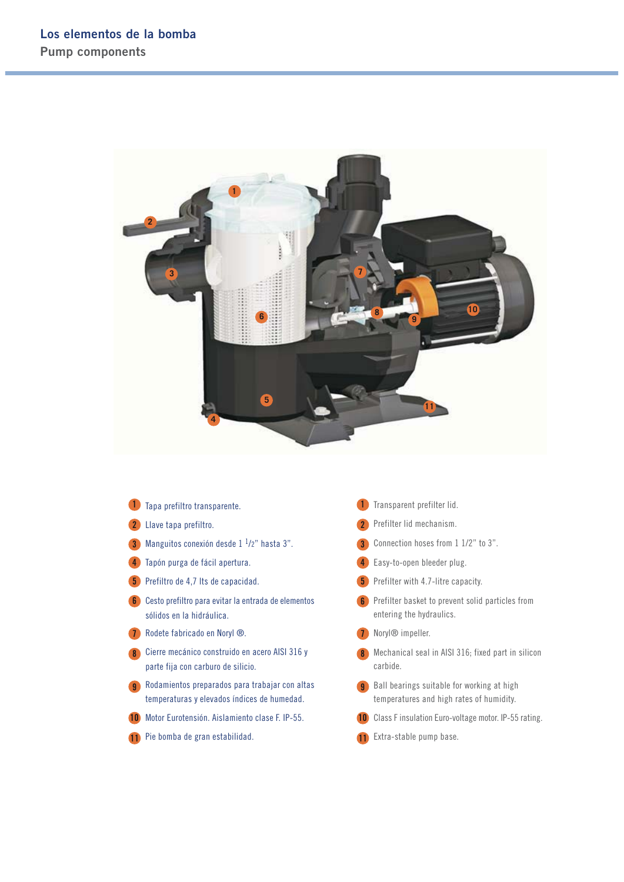

|               | Tapa prefiltro transparente.                                                                  |                | Transparent prefilter lid.                                                             |
|---------------|-----------------------------------------------------------------------------------------------|----------------|----------------------------------------------------------------------------------------|
|               | Llave tapa prefiltro.                                                                         |                | Prefilter lid mechanism.                                                               |
| $\mathbf{3}$  | Manguitos conexión desde $1 \frac{1}{2}$ " hasta 3".                                          | 3              | Connection hoses from 1 1/2" to 3".                                                    |
|               | Tapón purga de fácil apertura.                                                                |                | Easy-to-open bleeder plug.                                                             |
| 5             | Prefiltro de 4,7 lts de capacidad.                                                            |                | <b>5</b> Prefilter with 4.7-litre capacity.                                            |
| 6             | Cesto prefiltro para evitar la entrada de elementos<br>sólidos en la hidráulica.              | 6              | Prefilter basket to prevent solid particles from<br>entering the hydraulics.           |
|               | Rodete fabricado en Noryl ®.                                                                  |                | Noryl <sup>®</sup> impeller.                                                           |
| 8             | Cierre mecánico construido en acero AISI 316 y<br>parte fija con carburo de silicio.          |                | Mechanical seal in AISI 316; fixed part in silicon<br>carbide.                         |
| -9            | Rodamientos preparados para trabajar con altas<br>temperaturas y elevados índices de humedad. | $\overline{9}$ | Ball bearings suitable for working at high<br>temperatures and high rates of humidity. |
| $\mathbf{10}$ | Motor Eurotensión. Aislamiento clase F. IP-55.                                                |                | Class F insulation Euro-voltage motor. IP-55 rating.                                   |
|               | Pie bomba de gran estabilidad.                                                                |                | Extra-stable pump base.                                                                |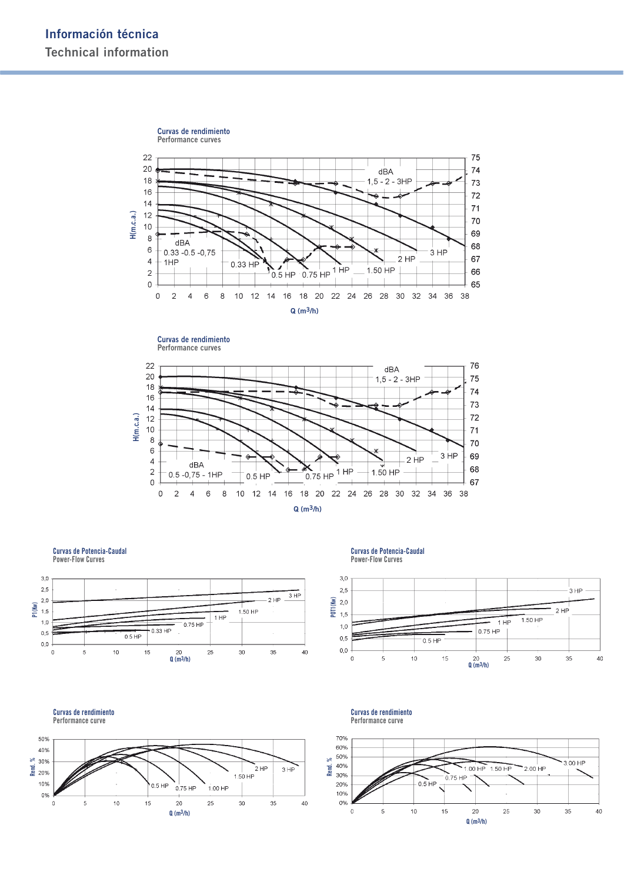



**Curvas de Potencia-Caudal Power-Flow Curves**





**Curvas de Potencia-Caudal Power-Flow Curves**

**Curvas de rendimiento**